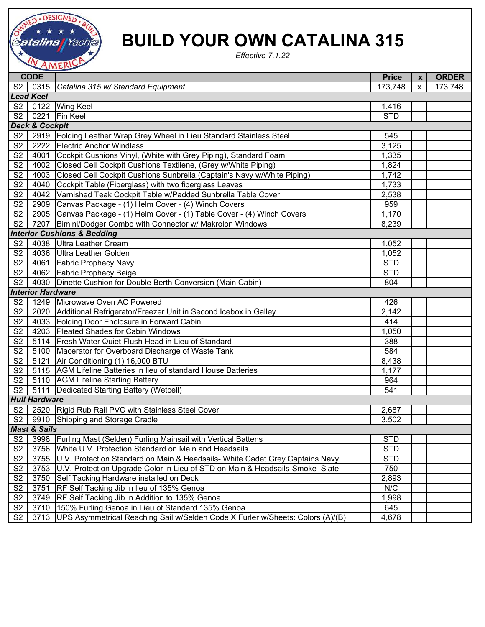

## **BUILD YOUR OWN CATALINA 315**

*Effective 7.1.22*

|                                        | <b>CODE</b>               |                                                                                     | <b>Price</b> | $\mathbf{x}$ | <b>ORDER</b> |  |  |  |  |
|----------------------------------------|---------------------------|-------------------------------------------------------------------------------------|--------------|--------------|--------------|--|--|--|--|
|                                        |                           | S2   0315   Catalina 315 w/ Standard Equipment                                      | 173,748      | $\mathsf{x}$ | 173,748      |  |  |  |  |
| <b>Lead Keel</b>                       |                           |                                                                                     |              |              |              |  |  |  |  |
|                                        |                           | S2   0122   Wing Keel                                                               | 1,416        |              |              |  |  |  |  |
| $\overline{S2}$                        |                           | 0221 Fin Keel                                                                       | <b>STD</b>   |              |              |  |  |  |  |
|                                        | <b>Deck &amp; Cockpit</b> |                                                                                     |              |              |              |  |  |  |  |
| S <sub>2</sub>                         |                           | 2919   Folding Leather Wrap Grey Wheel in Lieu Standard Stainless Steel             | 545          |              |              |  |  |  |  |
| S <sub>2</sub>                         |                           | 2222 Electric Anchor Windlass                                                       | 3,125        |              |              |  |  |  |  |
| S2                                     |                           | 4001 Cockpit Cushions Vinyl, (White with Grey Piping), Standard Foam                | 1,335        |              |              |  |  |  |  |
| $\overline{\text{S2}}$                 |                           | 4002 Closed Cell Cockpit Cushions Textilene, (Grey w/White Piping)                  | 1,824        |              |              |  |  |  |  |
| $\overline{\text{S2}}$                 |                           | 4003 Closed Cell Cockpit Cushions Sunbrella, (Captain's Navy w/White Piping)        | 1,742        |              |              |  |  |  |  |
| S <sub>2</sub>                         |                           | 4040 Cockpit Table (Fiberglass) with two fiberglass Leaves                          | 1,733        |              |              |  |  |  |  |
| S <sub>2</sub>                         |                           | 4042 Varnished Teak Cockpit Table w/Padded Sunbrella Table Cover                    | 2,538        |              |              |  |  |  |  |
| S2                                     |                           | 2909 Canvas Package - (1) Helm Cover - (4) Winch Covers                             | 959          |              |              |  |  |  |  |
| S <sub>2</sub>                         |                           | 2905 Canvas Package - (1) Helm Cover - (1) Table Cover - (4) Winch Covers           | 1,170        |              |              |  |  |  |  |
| S <sub>2</sub>                         |                           | 7207 Bimini/Dodger Combo with Connector w/ Makrolon Windows                         | 8,239        |              |              |  |  |  |  |
| <b>Interior Cushions &amp; Bedding</b> |                           |                                                                                     |              |              |              |  |  |  |  |
| S2                                     |                           | 4038 Ultra Leather Cream                                                            | 1,052        |              |              |  |  |  |  |
| S <sub>2</sub>                         |                           | 4036 Ultra Leather Golden                                                           | 1,052        |              |              |  |  |  |  |
| S2                                     |                           | 4061 Fabric Prophecy Navy                                                           | <b>STD</b>   |              |              |  |  |  |  |
|                                        |                           | S2   4062   Fabric Prophecy Beige                                                   | <b>STD</b>   |              |              |  |  |  |  |
| $\overline{\text{S2}}$                 |                           | 4030 Dinette Cushion for Double Berth Conversion (Main Cabin)                       | 804          |              |              |  |  |  |  |
|                                        | <b>Interior Hardware</b>  |                                                                                     |              |              |              |  |  |  |  |
|                                        |                           | S2   1249   Microwave Oven AC Powered                                               | 426          |              |              |  |  |  |  |
| S2                                     |                           | 2020 Additional Refrigerator/Freezer Unit in Second Icebox in Galley                | 2,142        |              |              |  |  |  |  |
| $\overline{\text{S2}}$                 |                           | 4033 Folding Door Enclosure in Forward Cabin                                        | 414          |              |              |  |  |  |  |
| $\overline{\text{S2}}$                 |                           | 4203 Pleated Shades for Cabin Windows                                               | 1,050        |              |              |  |  |  |  |
| $\overline{\text{S2}}$                 |                           | 5114   Fresh Water Quiet Flush Head in Lieu of Standard                             | 388          |              |              |  |  |  |  |
| S <sub>2</sub>                         |                           | 5100 Macerator for Overboard Discharge of Waste Tank                                | 584          |              |              |  |  |  |  |
| S <sub>2</sub>                         |                           | 5121 Air Conditioning (1) 16,000 BTU                                                | 8,438        |              |              |  |  |  |  |
| S <sub>2</sub>                         |                           | 5115 AGM Lifeline Batteries in lieu of standard House Batteries                     | 1,177        |              |              |  |  |  |  |
| S <sub>2</sub>                         |                           | 5110 AGM Lifeline Starting Battery                                                  | 964          |              |              |  |  |  |  |
| S2                                     |                           | 5111   Dedicated Starting Battery (Wetcell)                                         | 541          |              |              |  |  |  |  |
| <b>Hull Hardware</b>                   |                           |                                                                                     |              |              |              |  |  |  |  |
| S2                                     |                           | 2520 Rigid Rub Rail PVC with Stainless Steel Cover                                  | 2,687        |              |              |  |  |  |  |
| S2                                     |                           | 9910 Shipping and Storage Cradle                                                    | 3,502        |              |              |  |  |  |  |
| <b>Mast &amp; Sails</b>                |                           |                                                                                     |              |              |              |  |  |  |  |
| S <sub>2</sub>                         | 3998                      | <b>Furling Mast (Selden) Furling Mainsail with Vertical Battens</b>                 | <b>STD</b>   |              |              |  |  |  |  |
| S <sub>2</sub>                         | 3756                      | White U.V. Protection Standard on Main and Headsails                                | <b>STD</b>   |              |              |  |  |  |  |
| S <sub>2</sub>                         | 3755                      | U.V. Protection Standard on Main & Headsails- White Cadet Grey Captains Navy        | <b>STD</b>   |              |              |  |  |  |  |
| S <sub>2</sub>                         | 3753                      | U.V. Protection Upgrade Color in Lieu of STD on Main & Headsails-Smoke Slate        | 750          |              |              |  |  |  |  |
| S <sub>2</sub>                         | 3750                      | Self Tacking Hardware installed on Deck                                             | 2,893        |              |              |  |  |  |  |
| $\overline{\mathsf{S2}}$               | 3751                      | RF Self Tacking Jib in lieu of 135% Genoa                                           | N/C          |              |              |  |  |  |  |
| S <sub>2</sub>                         | 3749                      | RF Self Tacking Jib in Addition to 135% Genoa                                       | 1,998        |              |              |  |  |  |  |
| S2                                     | 3710                      | 150% Furling Genoa in Lieu of Standard 135% Genoa                                   | 645          |              |              |  |  |  |  |
| S <sub>2</sub>                         |                           | 3713 UPS Asymmetrical Reaching Sail w/Selden Code X Furler w/Sheets: Colors (A)/(B) | 4,678        |              |              |  |  |  |  |